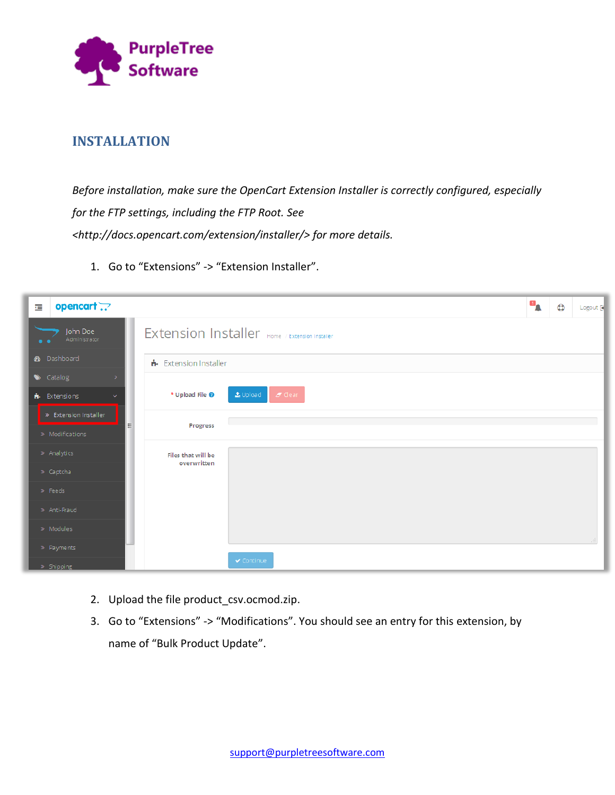

### **INSTALLATION**

*Before installation, make sure the OpenCart Extension Installer is correctly configured, especially for the FTP settings, including the FTP Root. See <http://docs.opencart.com/extension/installer/> for more details.*

1. Go to "Extensions" -> "Extension Installer".

| 疆 | opencart ??                                    |   |                                   |                                                | $\mathbf{p}$ | $\bullet$ | Logout [ |
|---|------------------------------------------------|---|-----------------------------------|------------------------------------------------|--------------|-----------|----------|
|   | John Doe<br>Administrator                      |   |                                   | Extension Installer Home / Extension Installer |              |           |          |
|   | <b>2</b> Dashboard                             |   | Extension Installer               |                                                |              |           |          |
|   | $\blacktriangleright$ Catalog<br>$\rightarrow$ |   |                                   |                                                |              |           |          |
|   | <b>n</b> Extensions<br>$\checkmark$            |   | * Upload File <sup>0</sup>        | $L$ Upload<br>$Z$ Clear                        |              |           |          |
|   | > Extension Installer                          |   |                                   |                                                |              |           |          |
|   | » Modifications                                | E | Progress                          |                                                |              |           |          |
|   | » Analytics                                    |   | Files that will be<br>overwritten |                                                |              |           |          |
|   | > Captcha                                      |   |                                   |                                                |              |           |          |
|   | » Feeds                                        |   |                                   |                                                |              |           |          |
|   | » Anti-Fraud                                   |   |                                   |                                                |              |           |          |
|   | » Modules                                      |   |                                   |                                                |              |           |          |
|   | > Payments                                     |   |                                   |                                                |              |           |          |
|   | » Shipping                                     |   |                                   | ✔ Continue                                     |              |           |          |

- 2. Upload the file product\_csv.ocmod.zip.
- 3. Go to "Extensions" -> "Modifications". You should see an entry for this extension, by name of "Bulk Product Update".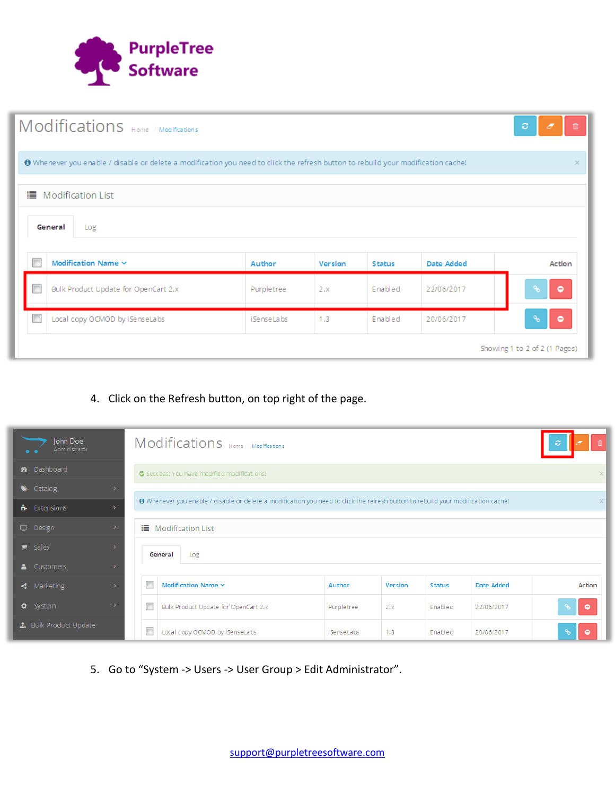

| Modifications Home / Modifications                                                                                                |                    |         |               |            | ø<br>會<br>F.           |  |  |  |  |  |
|-----------------------------------------------------------------------------------------------------------------------------------|--------------------|---------|---------------|------------|------------------------|--|--|--|--|--|
| ♦ Whenever you enable / disable or delete a modification you need to click the refresh button to rebuild your modification cache! |                    |         |               |            |                        |  |  |  |  |  |
| <b>■</b> Modification List                                                                                                        |                    |         |               |            |                        |  |  |  |  |  |
| General<br>Log                                                                                                                    |                    |         |               |            |                        |  |  |  |  |  |
| m<br>Modification Name $\sim$                                                                                                     | Author             | Version | <b>Status</b> | Date Added | Action                 |  |  |  |  |  |
| Bulk Product Update for OpenCart 2.x                                                                                              | Purpletree         | 2.x     | Enabled       | 22/06/2017 | $\delta$<br><b>Iel</b> |  |  |  |  |  |
| Local copy OCMOD by iSenseLabs                                                                                                    | <i>i</i> SenseLabs | 1.3     | Enabled       | 20/06/2017 | <b>Po</b><br>٥         |  |  |  |  |  |
| Showing 1 to 2 of 2 (1 Pages)                                                                                                     |                    |         |               |            |                        |  |  |  |  |  |

#### 4. Click on the Refresh button, on top right of the page.

| John Doe<br>Administrator       |               |                           | Modifications Home / Modifications                                                                                                |                |         |               |            | ø                         |  |  |
|---------------------------------|---------------|---------------------------|-----------------------------------------------------------------------------------------------------------------------------------|----------------|---------|---------------|------------|---------------------------|--|--|
| <b>3</b> Dashboard              |               |                           | Success: You have modified modifications!                                                                                         |                |         |               |            |                           |  |  |
| $\blacktriangleright$ Catalog   |               |                           |                                                                                                                                   |                |         |               |            |                           |  |  |
| <b>n</b> Extensions             | $\rightarrow$ |                           | ● Whenever you enable / disable or delete a modification you need to click the refresh button to rebuild your modification cache! |                |         |               |            |                           |  |  |
| Design                          | ->            |                           | <b>II</b> Modification List                                                                                                       |                |         |               |            |                           |  |  |
| <b>■</b> Sales                  |               |                           | General<br>Log                                                                                                                    |                |         |               |            |                           |  |  |
| & Customers                     |               |                           |                                                                                                                                   |                |         |               |            |                           |  |  |
| $\triangleleft$ Marketing       |               | F                         | Modification Name $\sim$                                                                                                          | Author         | Version | <b>Status</b> | Date Added | Action                    |  |  |
| <b><math>\Phi</math></b> System |               | m                         | Bulk Product Update for OpenCart 2.x                                                                                              | Purpletree     | 2.x     | Enabled       | 22/06/2017 | $\sqrt{2}$<br>$\bullet$   |  |  |
| <b>1.</b> Bulk Product Update   |               | $\overline{\mathbb{R}^n}$ | Local copy OCMOD by iSenseLabs                                                                                                    | i Se nse La bs | 1.3     | Enabled       | 20/06/2017 | $\mathcal{C}_\mathcal{S}$ |  |  |

5. Go to "System -> Users -> User Group > Edit Administrator".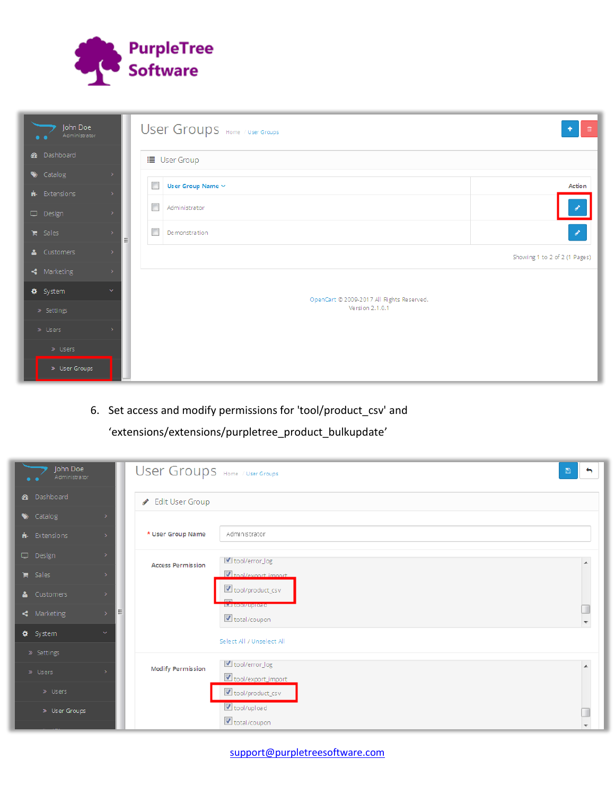

| John Doe<br>Administrator |                    | User Groups Home / User Groups            |                               |
|---------------------------|--------------------|-------------------------------------------|-------------------------------|
| <b>8</b> Dashboard        |                    | <b>■</b> User Group                       |                               |
| Catalog                   |                    | $\Box$                                    | Action                        |
| <b>i</b> Extensions       |                    | User Group Name $\vee$                    |                               |
| Design                    |                    | П<br>Administrator                        | g.                            |
| <b>■</b> Sales            | $\rightarrow$<br>릐 | $\Box$<br>Demonstration                   | $\mathcal{E}$                 |
| & Customers               | $\rightarrow$      |                                           | Showing 1 to 2 of 2 (1 Pages) |
| $\triangleleft$ Marketing | $\rightarrow$      |                                           |                               |
| <b>#</b> System           | $\checkmark$       | OpenCart @ 2009-2017 All Rights Reserved. |                               |
| » Settings                |                    | Version 2.1.0.1                           |                               |
| » Users                   |                    |                                           |                               |
| » Users                   |                    |                                           |                               |
| > User Groups             |                    |                                           |                               |

6. Set access and modify permissions for 'tool/product\_csv' and

# 'extensions/extensions/purpletree\_product\_bulkupdate'

| John Doe<br>Administrator     |                    | User Groups Home / User Groups |                                               | $\boxdot$<br>$\leftarrow$ |
|-------------------------------|--------------------|--------------------------------|-----------------------------------------------|---------------------------|
| <b>3</b> Dashboard            |                    | Edit User Group                |                                               |                           |
| $\blacktriangleright$ Catalog | $\rightarrow$      |                                |                                               |                           |
| $\mathbf{h}$ Extensions       | $\rightarrow$      | * User Group Name              | Administrator                                 |                           |
| Design                        | $\rightarrow$      | <b>Access Permission</b>       | U tool/error_log                              | ᆂ                         |
| <b>■</b> Sales                | -5                 |                                | I tool/export_import_                         |                           |
| & Customers                   | $\rightarrow$      |                                | tool/product_csv                              |                           |
| $\triangleleft$ Marketing     | E<br>$\rightarrow$ |                                | <b>IMPROVISION CONTRACTOR</b><br>total/coupon |                           |
| <b>#</b> System               | $\checkmark$       |                                | Select All / Unselect All                     |                           |
| » Settings                    |                    |                                |                                               |                           |
| » Users                       |                    | <b>Modify Permission</b>       | dool/error_log<br>tool/export_import          |                           |
| » Users                       |                    |                                | tool/product_csv                              |                           |
| > User Groups                 |                    |                                | tool/upload                                   |                           |
|                               |                    |                                | total/coupon                                  |                           |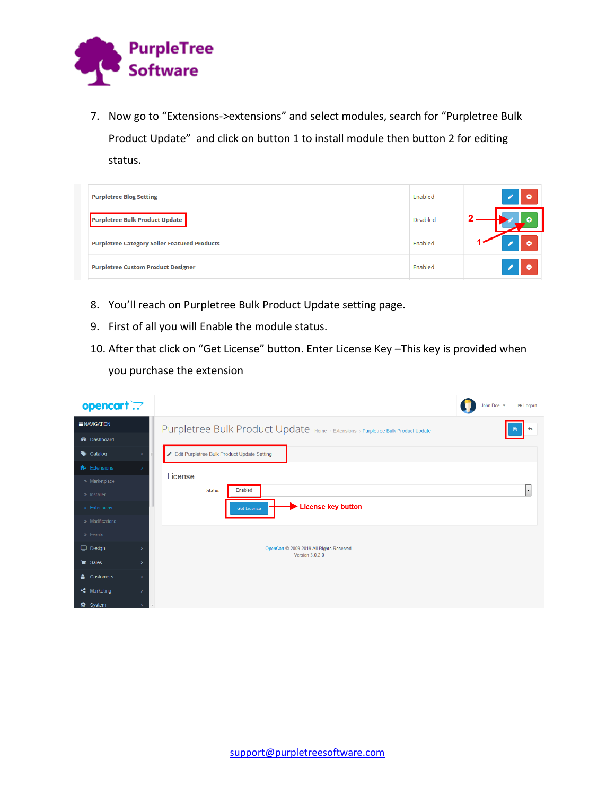

7. Now go to "Extensions->extensions" and select modules, search for "Purpletree Bulk Product Update" and click on button 1 to install module then button 2 for editing status.

| <b>Purpletree Blog Setting</b>                      | Enabled         | ۰ |
|-----------------------------------------------------|-----------------|---|
| Purpletree Bulk Product Update                      | <b>Disabled</b> |   |
| <b>Purpletree Category Seller Featured Products</b> | Enabled         | ٥ |
| <b>Purpletree Custom Product Designer</b>           | Enabled         | ۰ |

- 8. You'll reach on Purpletree Bulk Product Update setting page.
- 9. First of all you will Enable the module status.
- 10. After that click on "Get License" button. Enter License Key –This key is provided when you purchase the extension

| opencart ??                         |                          |                                                                                   | John Doe | <b>■ Logout</b>          |
|-------------------------------------|--------------------------|-----------------------------------------------------------------------------------|----------|--------------------------|
| <b>ENAVIGATION</b>                  |                          | Purpletree Bulk Product Update Home > Extensions > Purpletree Bulk Product Update |          |                          |
| <b>B</b> Dashboard                  |                          |                                                                                   |          |                          |
| Catalog<br>$\rightarrow$            | E                        | Edit Purpletree Bulk Product Update Setting                                       |          |                          |
| <b>N</b> - Extensions               |                          |                                                                                   |          |                          |
| » Marketplace                       |                          | License                                                                           |          |                          |
| » Installer                         |                          | Enabled<br><b>Status</b>                                                          |          | $\overline{\phantom{a}}$ |
| > Extensions                        |                          | <b>License key button</b><br>Get License                                          |          |                          |
| » Modifications                     |                          |                                                                                   |          |                          |
| » Events                            |                          |                                                                                   |          |                          |
| $\Box$ Design<br>$\rightarrow$      |                          | OpenCart @ 2009-2019 All Rights Reserved.<br><b>Version 3.0.2.0</b>               |          |                          |
| $\mathbb{F}$ Sales<br>$\rightarrow$ |                          |                                                                                   |          |                          |
| 8<br>Customers<br>$\rightarrow$     |                          |                                                                                   |          |                          |
| Marketing<br>$\rightarrow$          |                          |                                                                                   |          |                          |
| <b>♦</b> System<br>$\rightarrow$    | $\overline{\phantom{a}}$ |                                                                                   |          |                          |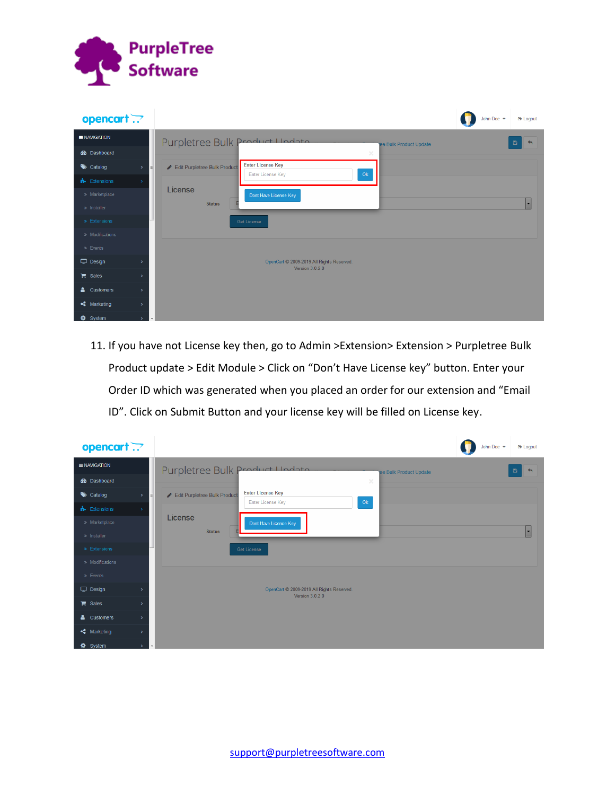

| opencart ??                            |    |                                                                                     | John Doe | <b>■ Logout</b>             |
|----------------------------------------|----|-------------------------------------------------------------------------------------|----------|-----------------------------|
| <b>ENAVIGATION</b>                     |    | Purpletree Bulk Product Undata<br>ee Bulk Product Update                            |          | $\boxtimes$<br>$\leftarrow$ |
| <b>B</b> Dashboard                     |    | ×                                                                                   |          |                             |
| $\bullet$ Catalog<br>$\rightarrow$     | EI | <b>Enter License Key</b><br>Edit Purpletree Bulk Product<br>Enter License Key<br>Ok |          |                             |
| <b>N</b> - Extensions<br>$\rightarrow$ |    |                                                                                     |          |                             |
| » Marketplace                          |    | License<br>Dont Have License Key                                                    |          |                             |
| » Installer                            |    | <b>Status</b>                                                                       |          | Ы                           |
| > Extensions                           |    | Get License                                                                         |          |                             |
| » Modifications                        |    |                                                                                     |          |                             |
| » Events                               |    |                                                                                     |          |                             |
| $\Box$ Design<br>$\rightarrow$         |    | OpenCart @ 2009-2019 All Rights Reserved.<br>Version 3.0.2.0                        |          |                             |
| $\mathbb{F}$ Sales<br>$\rightarrow$    |    |                                                                                     |          |                             |
| & Customers<br>$\rightarrow$           |    |                                                                                     |          |                             |
| Marketing<br>$\rightarrow$             |    |                                                                                     |          |                             |
| <b>‡</b> System<br>$\rightarrow$       |    |                                                                                     |          |                             |

11. If you have not License key then, go to Admin >Extension> Extension > Purpletree Bulk Product update > Edit Module > Click on "Don't Have License key" button. Enter your Order ID which was generated when you placed an order for our extension and "Email ID". Click on Submit Button and your license key will be filled on License key.

| opencart .?                                | John Doe<br>E Logout                                                                     |
|--------------------------------------------|------------------------------------------------------------------------------------------|
| <b>ENAVIGATION</b>                         | Purpletree Bulk Product Undata<br>Ð<br>$\leftarrow$<br>ee Bulk Product Update            |
| <b>B</b> Dashboard                         | $\times$                                                                                 |
| $\bullet$ Catalog<br>$\rightarrow$         | <b>Enter License Key</b><br>Edit Purpletree Bulk Product<br>E<br>Ok<br>Enter License Key |
| <b>N</b> - Extensions<br>$\rightarrow$     |                                                                                          |
| » Marketplace                              | License<br>Dont Have License Key                                                         |
| » Installer                                | $\overline{\phantom{a}}$<br><b>Status</b>                                                |
| » Extensions                               | Get License                                                                              |
| » Modifications                            |                                                                                          |
| > Events                                   |                                                                                          |
| $\Box$ Design<br>$\rightarrow$             | OpenCart @ 2009-2019 All Rights Reserved.<br><b>Version 3.0.2.0</b>                      |
| $\mathbf{F}$ Sales<br>$\rightarrow$        |                                                                                          |
| & Customers<br>$\rightarrow$               |                                                                                          |
| $\triangleleft$ Marketing<br>$\rightarrow$ |                                                                                          |
| System<br>۰                                |                                                                                          |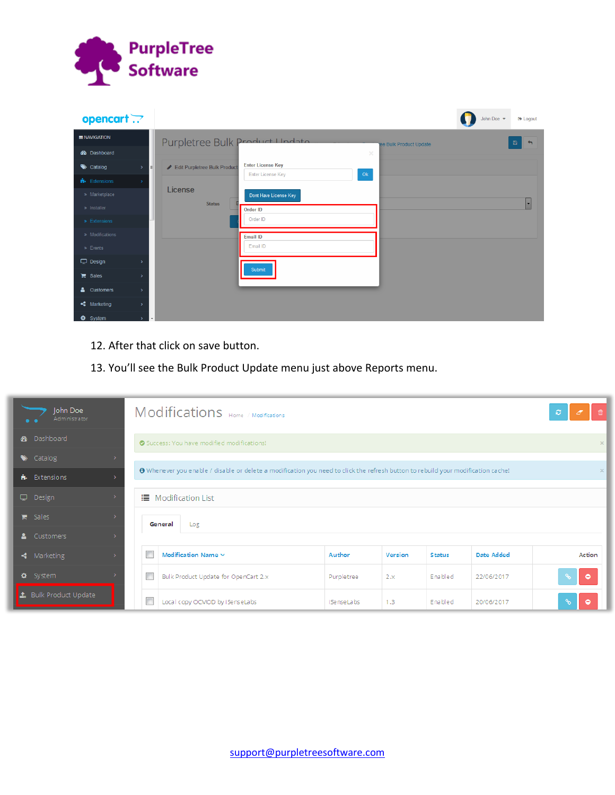

| opencart .?                                |                                                                                          | John Doe | <b>■ Logout</b>          |
|--------------------------------------------|------------------------------------------------------------------------------------------|----------|--------------------------|
| <b>E</b> NAVIGATION                        | Purpletree Bulk Product Undata<br>ee Bulk Product Update                                 |          | Ð<br>$\leftarrow$        |
| <b>B</b> Dashboard                         | $\times$                                                                                 |          |                          |
| $\bullet$ Catalog<br>$\,$                  | <b>Enter License Key</b><br>Edit Purpletree Bulk Product<br>E<br>Ok<br>Enter License Key |          |                          |
| <b>R</b> Extensions<br>$\rightarrow$       |                                                                                          |          |                          |
| » Marketplace                              | License<br>Dont Have License Key                                                         |          |                          |
| » Installer                                | <b>Status</b><br>Order ID                                                                |          | $\overline{\phantom{a}}$ |
| » Extensions                               | Order ID                                                                                 |          |                          |
| » Modifications                            | <b>Email ID</b>                                                                          |          |                          |
| > Events                                   | Email ID                                                                                 |          |                          |
| $\Box$ Design<br>$\rightarrow$             | Submit                                                                                   |          |                          |
| $\mathbb{F}$ Sales<br>$\rightarrow$        |                                                                                          |          |                          |
| 8<br>Customers<br>$\,$                     |                                                                                          |          |                          |
| $\triangleleft$ Marketing<br>$\rightarrow$ |                                                                                          |          |                          |
| <b>☆</b> System<br>$\mathcal{P}$           | $\overline{\phantom{a}}$                                                                 |          |                          |

- 12. After that click on save button.
- 13. You'll see the Bulk Product Update menu just above Reports menu.

| John Doe<br>Administrator                      |                                                                                                                                   | Modifications Home / Modifications        |                |         |               |                   | Ø.                          |           |  |
|------------------------------------------------|-----------------------------------------------------------------------------------------------------------------------------------|-------------------------------------------|----------------|---------|---------------|-------------------|-----------------------------|-----------|--|
| <b>8</b> Dashboard                             |                                                                                                                                   | Success: You have modified modifications! |                |         |               |                   |                             |           |  |
| $\blacktriangleright$ Catalog<br>$\rightarrow$ |                                                                                                                                   |                                           |                |         |               |                   |                             |           |  |
| $\mathbf{h}$ Extensions<br>۰,                  | O Whenever you enable / disable or delete a modification you need to click the refresh button to rebuild your modification cache! |                                           |                |         |               |                   |                             |           |  |
| Design<br>$\rightarrow$                        |                                                                                                                                   | <b>IE</b> Modification List               |                |         |               |                   |                             |           |  |
| $\blacksquare$ Sales<br>5                      | General<br>Log                                                                                                                    |                                           |                |         |               |                   |                             |           |  |
| & Customers<br>->                              |                                                                                                                                   |                                           |                |         |               |                   |                             |           |  |
| $\triangleleft$ Marketing<br>$\rightarrow$     |                                                                                                                                   | Modification Name ~                       | Author         | Version | <b>Status</b> | <b>Date Added</b> |                             | Action    |  |
| <b>Φ</b> System                                |                                                                                                                                   | Bulk Product Update for OpenCart 2.x      | Purpletree     | 2.x     | Enabled       | 22/06/2017        | $\delta$                    | $\bullet$ |  |
| <b>主</b> Bulk Product Update                   |                                                                                                                                   | Local copy OCMOD by iSenseLabs            | i Se nse La bs | 1.3     | Enabled       | 20/06/2017        | $\mathcal{C}_{\mathcal{O}}$ | ۰         |  |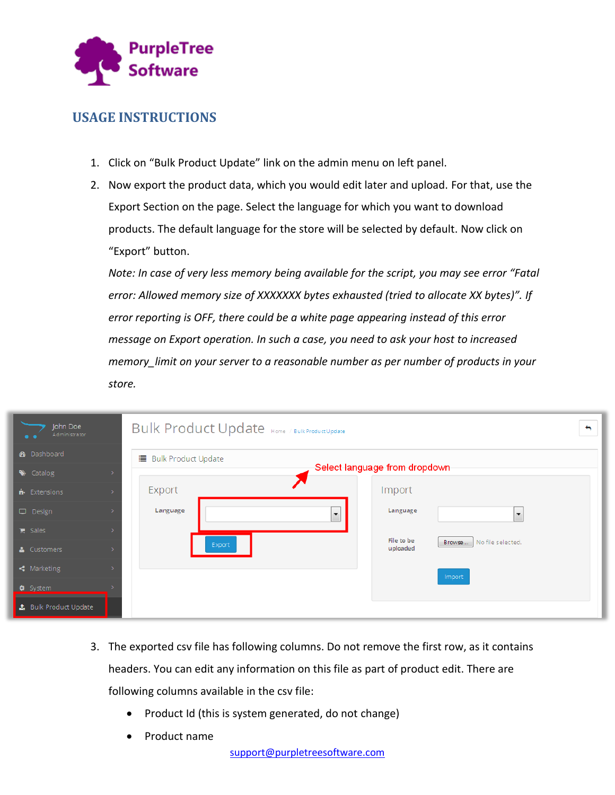

# **USAGE INSTRUCTIONS**

- 1. Click on "Bulk Product Update" link on the admin menu on left panel.
- 2. Now export the product data, which you would edit later and upload. For that, use the Export Section on the page. Select the language for which you want to download products. The default language for the store will be selected by default. Now click on "Export" button.

*Note: In case of very less memory being available for the script, you may see error "Fatal error: Allowed memory size of XXXXXXX bytes exhausted (tried to allocate XX bytes)". If error reporting is OFF, there could be a white page appearing instead of this error message on Export operation. In such a case, you need to ask your host to increased memory\_limit on your server to a reasonable number as per number of products in your store.*

| John Doe<br>Administrator       | Bulk Product Update Home / Bulk Product Update<br>↔     |  |
|---------------------------------|---------------------------------------------------------|--|
| <b>3</b> Dashboard              | <b>■ Bulk Product Update</b>                            |  |
| Catalog                         | Select language from dropdown                           |  |
| <b>n</b> Extensions             | Import<br>Export                                        |  |
| Design                          | Language<br>Language<br>$\cdot$<br>$\blacktriangledown$ |  |
| $\mathbb{F}$ Sales              | File to be                                              |  |
| & Customers                     | No file selected.<br>Browse<br>Export<br>uploaded       |  |
| $\triangleleft$ Marketing       | Import                                                  |  |
| <b><math>\Phi</math></b> System |                                                         |  |
| <b>1</b> Bulk Product Update    |                                                         |  |

- 3. The exported csv file has following columns. Do not remove the first row, as it contains headers. You can edit any information on this file as part of product edit. There are following columns available in the csv file:
	- Product Id (this is system generated, do not change)
	- Product name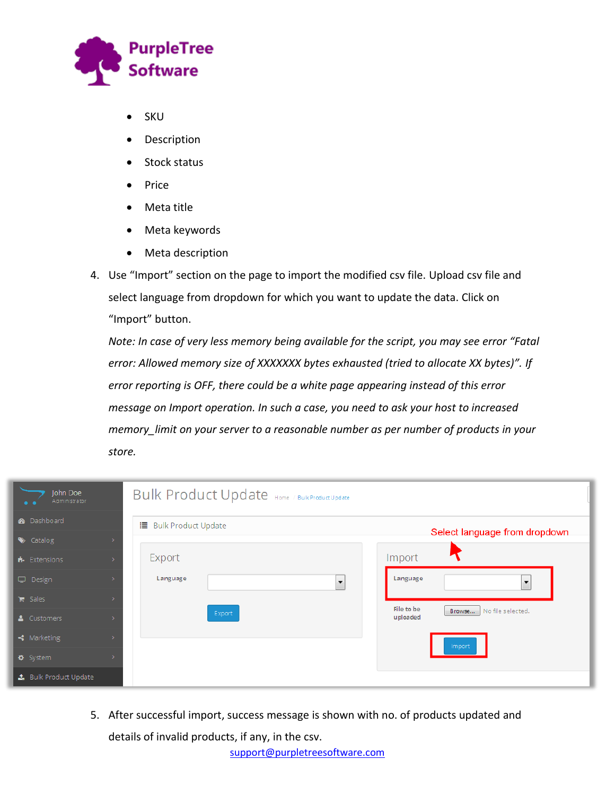

- SKU
- Description
- Stock status
- Price
- Meta title
- Meta keywords
- Meta description
- 4. Use "Import" section on the page to import the modified csv file. Upload csv file and select language from dropdown for which you want to update the data. Click on "Import" button.

*Note: In case of very less memory being available for the script, you may see error "Fatal error: Allowed memory size of XXXXXXX bytes exhausted (tried to allocate XX bytes)". If error reporting is OFF, there could be a white page appearing instead of this error message on Import operation. In such a case, you need to ask your host to increased memory\_limit on your server to a reasonable number as per number of products in your store.*

| John Doe<br>Administrator                                |                          | Bulk Product Update Home / Bulk Product Update |                                                       |
|----------------------------------------------------------|--------------------------|------------------------------------------------|-------------------------------------------------------|
| <b>2</b> Dashboard                                       | ⊫<br>Bulk Product Update |                                                | Select language from dropdown.                        |
| Catalog<br>$\mathbf{h}$ Extensions                       | Export                   |                                                | Import                                                |
| Design                                                   | Language                 | $\overline{\phantom{a}}$                       | Language<br>$\overline{\phantom{0}}$                  |
| <b>■</b> Sales<br>& Customers                            |                          | Export                                         | File to be<br>No file selected.<br>Browse<br>uploaded |
| $\triangleleft$ Marketing                                |                          |                                                | Import                                                |
| <b><math>\Phi</math></b> System<br>4 Bulk Product Update |                          |                                                |                                                       |

5. After successful import, success message is shown with no. of products updated and details of invalid products, if any, in the csv.

[support@purpletreesoftware.com](mailto:support@purpletreesoftware.com)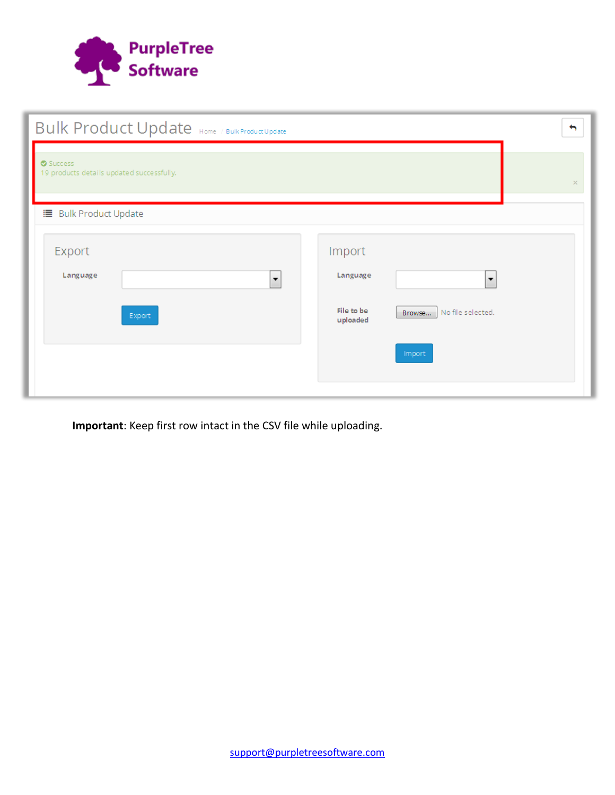

| Bulk Product Update Home / Bulk Product Update       | $\blacklozenge$                                                                                                   |  |
|------------------------------------------------------|-------------------------------------------------------------------------------------------------------------------|--|
| Success<br>19 products details updated successfully. | $\times$                                                                                                          |  |
| <b>■ Bulk Product Update</b>                         |                                                                                                                   |  |
| Export<br>Language<br>۰<br>Export                    | Import<br>Language<br>$\overline{\phantom{a}}$<br>File to be<br>No file selected.<br>Browse<br>uploaded<br>Import |  |
|                                                      |                                                                                                                   |  |

**Important**: Keep first row intact in the CSV file while uploading.